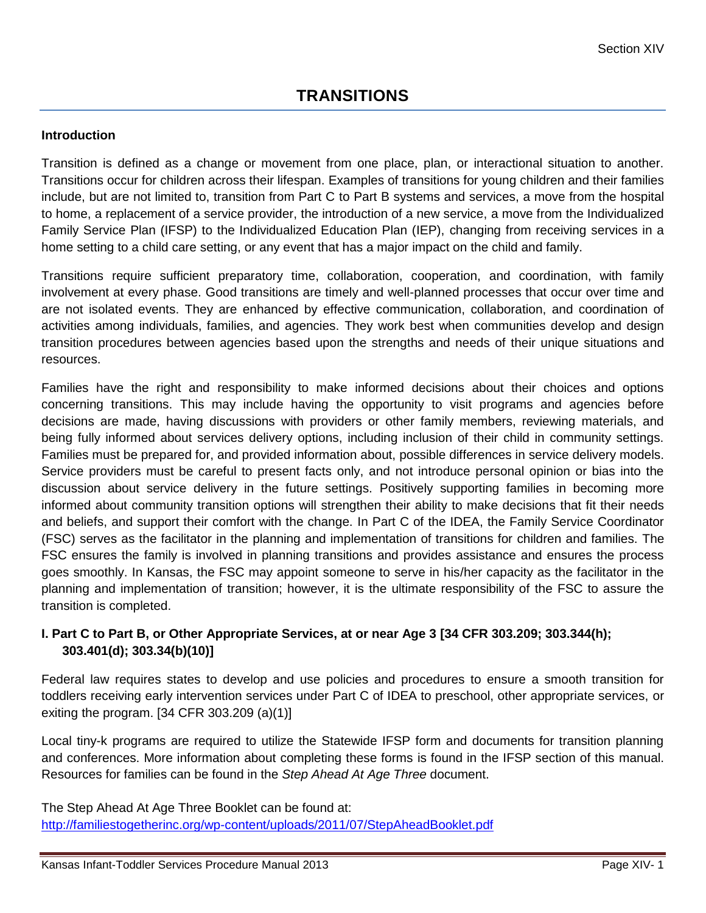## **Introduction**

Transition is defined as a change or movement from one place, plan, or interactional situation to another. Transitions occur for children across their lifespan. Examples of transitions for young children and their families include, but are not limited to, transition from Part C to Part B systems and services, a move from the hospital to home, a replacement of a service provider, the introduction of a new service, a move from the Individualized Family Service Plan (IFSP) to the Individualized Education Plan (IEP), changing from receiving services in a home setting to a child care setting, or any event that has a major impact on the child and family.

Transitions require sufficient preparatory time, collaboration, cooperation, and coordination, with family involvement at every phase. Good transitions are timely and well-planned processes that occur over time and are not isolated events. They are enhanced by effective communication, collaboration, and coordination of activities among individuals, families, and agencies. They work best when communities develop and design transition procedures between agencies based upon the strengths and needs of their unique situations and resources.

Families have the right and responsibility to make informed decisions about their choices and options concerning transitions. This may include having the opportunity to visit programs and agencies before decisions are made, having discussions with providers or other family members, reviewing materials, and being fully informed about services delivery options, including inclusion of their child in community settings. Families must be prepared for, and provided information about, possible differences in service delivery models. Service providers must be careful to present facts only, and not introduce personal opinion or bias into the discussion about service delivery in the future settings. Positively supporting families in becoming more informed about community transition options will strengthen their ability to make decisions that fit their needs and beliefs, and support their comfort with the change. In Part C of the IDEA, the Family Service Coordinator (FSC) serves as the facilitator in the planning and implementation of transitions for children and families. The FSC ensures the family is involved in planning transitions and provides assistance and ensures the process goes smoothly. In Kansas, the FSC may appoint someone to serve in his/her capacity as the facilitator in the planning and implementation of transition; however, it is the ultimate responsibility of the FSC to assure the transition is completed.

# **I. Part C to Part B, or Other Appropriate Services, at or near Age 3 [34 CFR 303.209; 303.344(h); 303.401(d); 303.34(b)(10)]**

Federal law requires states to develop and use policies and procedures to ensure a smooth transition for toddlers receiving early intervention services under Part C of IDEA to preschool, other appropriate services, or exiting the program. [34 CFR 303.209 (a)(1)]

Local tiny-k programs are required to utilize the Statewide IFSP form and documents for transition planning and conferences. More information about completing these forms is found in the IFSP section of this manual. Resources for families can be found in the *Step Ahead At Age Three* document.

The Step Ahead At Age Three Booklet can be found at: <http://familiestogetherinc.org/wp-content/uploads/2011/07/StepAheadBooklet.pdf>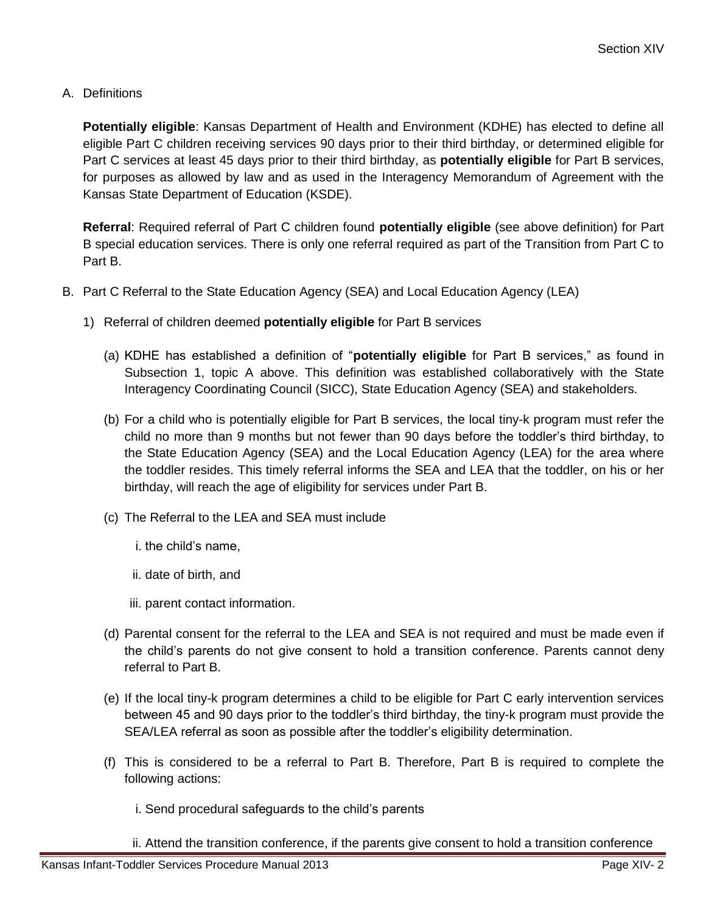A. Definitions

**Potentially eligible**: Kansas Department of Health and Environment (KDHE) has elected to define all eligible Part C children receiving services 90 days prior to their third birthday, or determined eligible for Part C services at least 45 days prior to their third birthday, as **potentially eligible** for Part B services, for purposes as allowed by law and as used in the Interagency Memorandum of Agreement with the Kansas State Department of Education (KSDE).

**Referral**: Required referral of Part C children found **potentially eligible** (see above definition) for Part B special education services. There is only one referral required as part of the Transition from Part C to Part B.

- B. Part C Referral to the State Education Agency (SEA) and Local Education Agency (LEA)
	- 1) Referral of children deemed **potentially eligible** for Part B services
		- (a) KDHE has established a definition of "**potentially eligible** for Part B services," as found in Subsection 1, topic A above. This definition was established collaboratively with the State Interagency Coordinating Council (SICC), State Education Agency (SEA) and stakeholders.
		- (b) For a child who is potentially eligible for Part B services, the local tiny-k program must refer the child no more than 9 months but not fewer than 90 days before the toddler's third birthday, to the State Education Agency (SEA) and the Local Education Agency (LEA) for the area where the toddler resides. This timely referral informs the SEA and LEA that the toddler, on his or her birthday, will reach the age of eligibility for services under Part B.
		- (c) The Referral to the LEA and SEA must include
			- i. the child's name,
			- ii. date of birth, and
			- iii. parent contact information.
		- (d) Parental consent for the referral to the LEA and SEA is not required and must be made even if the child's parents do not give consent to hold a transition conference. Parents cannot deny referral to Part B.
		- (e) If the local tiny-k program determines a child to be eligible for Part C early intervention services between 45 and 90 days prior to the toddler's third birthday, the tiny-k program must provide the SEA/LEA referral as soon as possible after the toddler's eligibility determination.
		- (f) This is considered to be a referral to Part B. Therefore, Part B is required to complete the following actions:
			- i. Send procedural safeguards to the child's parents

ii. Attend the transition conference, if the parents give consent to hold a transition conference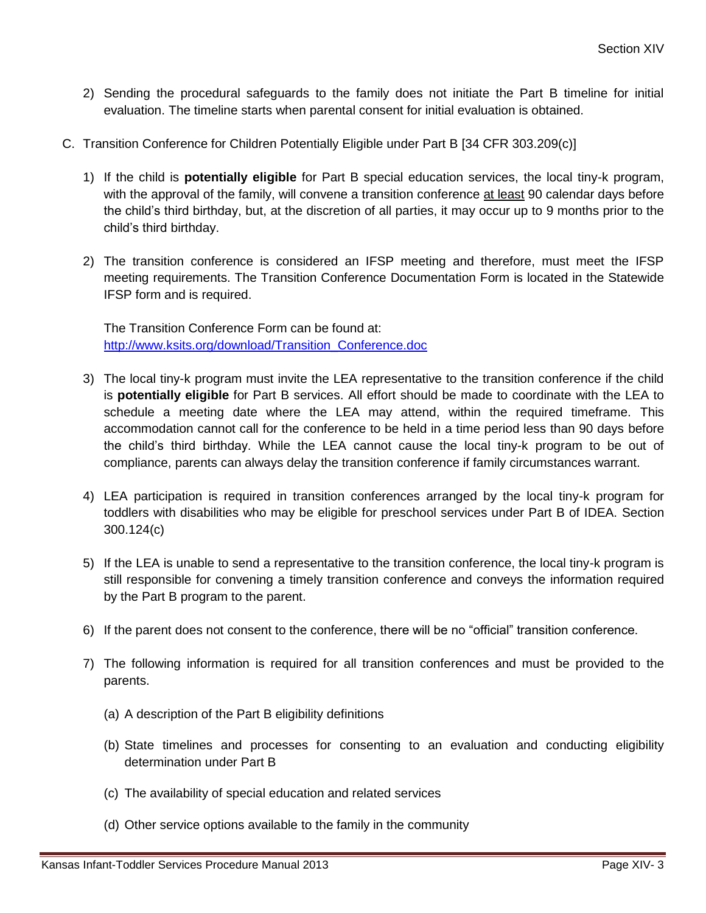- 2) Sending the procedural safeguards to the family does not initiate the Part B timeline for initial evaluation. The timeline starts when parental consent for initial evaluation is obtained.
- C. Transition Conference for Children Potentially Eligible under Part B [34 CFR 303.209(c)]
	- 1) If the child is **potentially eligible** for Part B special education services, the local tiny-k program, with the approval of the family, will convene a transition conference at least 90 calendar days before the child's third birthday, but, at the discretion of all parties, it may occur up to 9 months prior to the child's third birthday.
	- 2) The transition conference is considered an IFSP meeting and therefore, must meet the IFSP meeting requirements. The Transition Conference Documentation Form is located in the Statewide IFSP form and is required.

The Transition Conference Form can be found at: [http://www.ksits.org/download/Transition\\_Conference.doc](http://www.ksits.org/download/Transition_Conference.doc)

- 3) The local tiny-k program must invite the LEA representative to the transition conference if the child is **potentially eligible** for Part B services. All effort should be made to coordinate with the LEA to schedule a meeting date where the LEA may attend, within the required timeframe. This accommodation cannot call for the conference to be held in a time period less than 90 days before the child's third birthday. While the LEA cannot cause the local tiny-k program to be out of compliance, parents can always delay the transition conference if family circumstances warrant.
- 4) LEA participation is required in transition conferences arranged by the local tiny-k program for toddlers with disabilities who may be eligible for preschool services under Part B of IDEA. Section 300.124(c)
- 5) If the LEA is unable to send a representative to the transition conference, the local tiny-k program is still responsible for convening a timely transition conference and conveys the information required by the Part B program to the parent.
- 6) If the parent does not consent to the conference, there will be no "official" transition conference.
- 7) The following information is required for all transition conferences and must be provided to the parents.
	- (a) A description of the Part B eligibility definitions
	- (b) State timelines and processes for consenting to an evaluation and conducting eligibility determination under Part B
	- (c) The availability of special education and related services
	- (d) Other service options available to the family in the community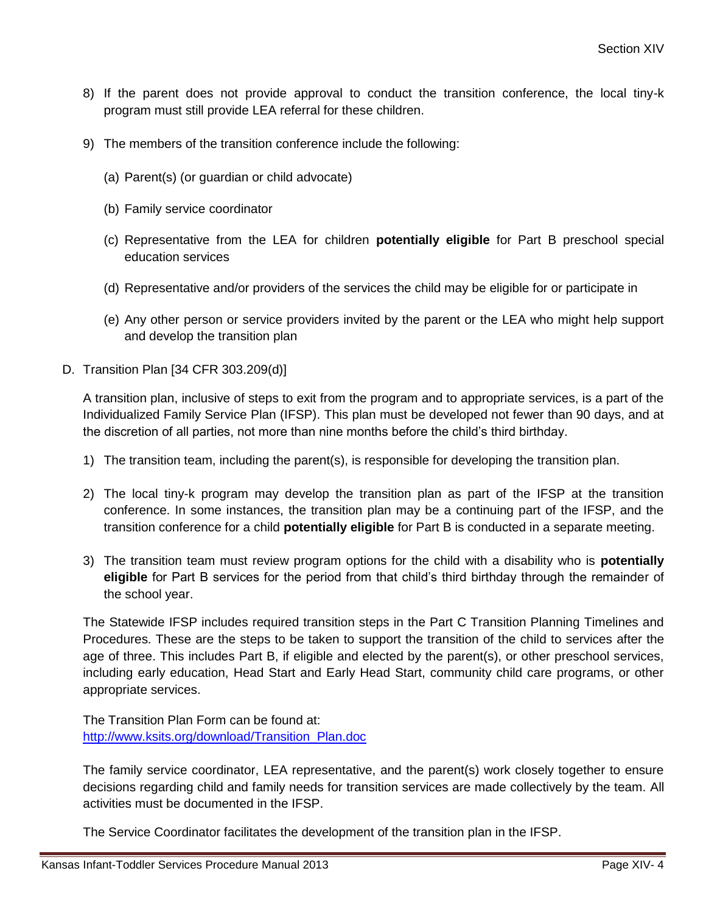- 8) If the parent does not provide approval to conduct the transition conference, the local tiny-k program must still provide LEA referral for these children.
- 9) The members of the transition conference include the following:
	- (a) Parent(s) (or guardian or child advocate)
	- (b) Family service coordinator
	- (c) Representative from the LEA for children **potentially eligible** for Part B preschool special education services
	- (d) Representative and/or providers of the services the child may be eligible for or participate in
	- (e) Any other person or service providers invited by the parent or the LEA who might help support and develop the transition plan
- D. Transition Plan [34 CFR 303.209(d)]

A transition plan, inclusive of steps to exit from the program and to appropriate services, is a part of the Individualized Family Service Plan (IFSP). This plan must be developed not fewer than 90 days, and at the discretion of all parties, not more than nine months before the child's third birthday.

- 1) The transition team, including the parent(s), is responsible for developing the transition plan.
- 2) The local tiny-k program may develop the transition plan as part of the IFSP at the transition conference. In some instances, the transition plan may be a continuing part of the IFSP, and the transition conference for a child **potentially eligible** for Part B is conducted in a separate meeting.
- 3) The transition team must review program options for the child with a disability who is **potentially eligible** for Part B services for the period from that child's third birthday through the remainder of the school year.

The Statewide IFSP includes required transition steps in the Part C Transition Planning Timelines and Procedures. These are the steps to be taken to support the transition of the child to services after the age of three. This includes Part B, if eligible and elected by the parent(s), or other preschool services, including early education, Head Start and Early Head Start, community child care programs, or other appropriate services.

The Transition Plan Form can be found at: [http://www.ksits.org/download/Transition\\_Plan.doc](http://www.ksits.org/download/Transition_Plan.doc)

The family service coordinator, LEA representative, and the parent(s) work closely together to ensure decisions regarding child and family needs for transition services are made collectively by the team. All activities must be documented in the IFSP.

The Service Coordinator facilitates the development of the transition plan in the IFSP.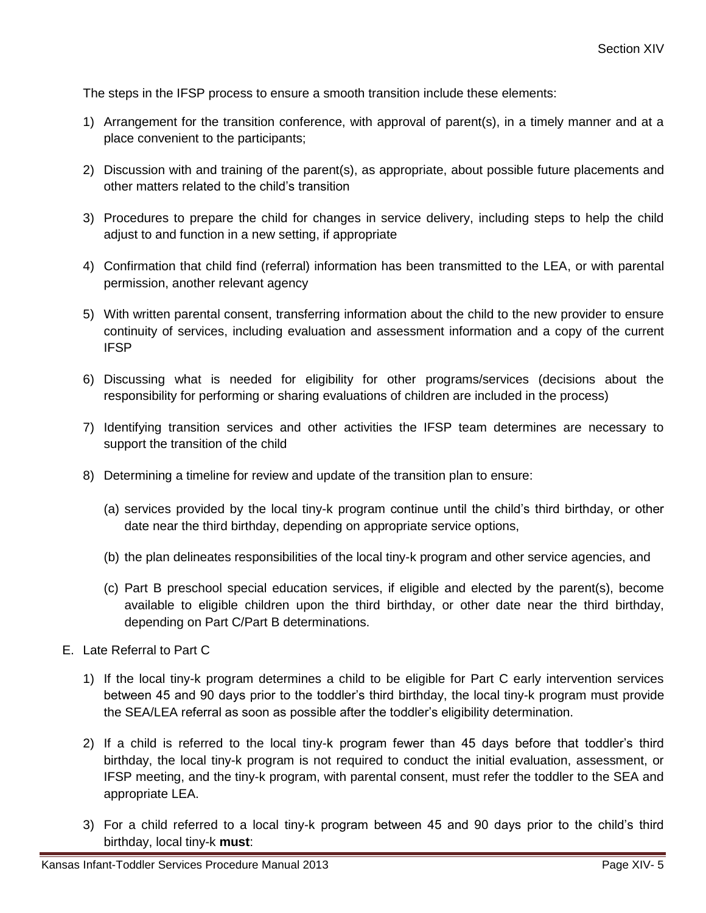The steps in the IFSP process to ensure a smooth transition include these elements:

- 1) Arrangement for the transition conference, with approval of parent(s), in a timely manner and at a place convenient to the participants;
- 2) Discussion with and training of the parent(s), as appropriate, about possible future placements and other matters related to the child's transition
- 3) Procedures to prepare the child for changes in service delivery, including steps to help the child adjust to and function in a new setting, if appropriate
- 4) Confirmation that child find (referral) information has been transmitted to the LEA, or with parental permission, another relevant agency
- 5) With written parental consent, transferring information about the child to the new provider to ensure continuity of services, including evaluation and assessment information and a copy of the current IFSP
- 6) Discussing what is needed for eligibility for other programs/services (decisions about the responsibility for performing or sharing evaluations of children are included in the process)
- 7) Identifying transition services and other activities the IFSP team determines are necessary to support the transition of the child
- 8) Determining a timeline for review and update of the transition plan to ensure:
	- (a) services provided by the local tiny-k program continue until the child's third birthday, or other date near the third birthday, depending on appropriate service options,
	- (b) the plan delineates responsibilities of the local tiny-k program and other service agencies, and
	- (c) Part B preschool special education services, if eligible and elected by the parent(s), become available to eligible children upon the third birthday, or other date near the third birthday, depending on Part C/Part B determinations.
- E. Late Referral to Part C
	- 1) If the local tiny-k program determines a child to be eligible for Part C early intervention services between 45 and 90 days prior to the toddler's third birthday, the local tiny-k program must provide the SEA/LEA referral as soon as possible after the toddler's eligibility determination.
	- 2) If a child is referred to the local tiny-k program fewer than 45 days before that toddler's third birthday, the local tiny-k program is not required to conduct the initial evaluation, assessment, or IFSP meeting, and the tiny-k program, with parental consent, must refer the toddler to the SEA and appropriate LEA.
	- 3) For a child referred to a local tiny-k program between 45 and 90 days prior to the child's third birthday, local tiny-k **must**: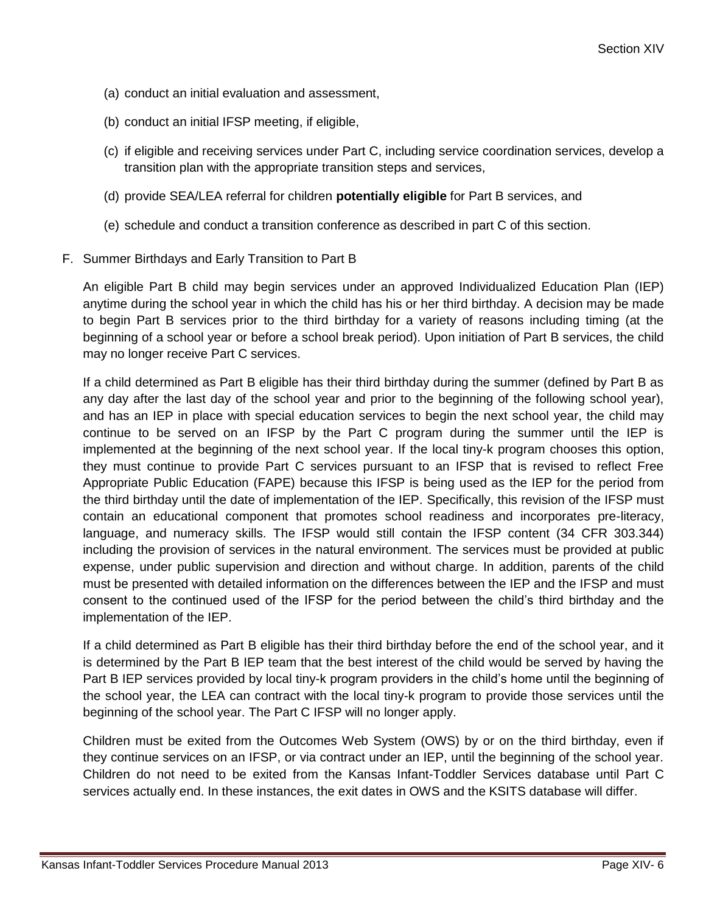- (a) conduct an initial evaluation and assessment,
- (b) conduct an initial IFSP meeting, if eligible,
- (c) if eligible and receiving services under Part C, including service coordination services, develop a transition plan with the appropriate transition steps and services,
- (d) provide SEA/LEA referral for children **potentially eligible** for Part B services, and
- (e) schedule and conduct a transition conference as described in part C of this section.
- F. Summer Birthdays and Early Transition to Part B

An eligible Part B child may begin services under an approved Individualized Education Plan (IEP) anytime during the school year in which the child has his or her third birthday. A decision may be made to begin Part B services prior to the third birthday for a variety of reasons including timing (at the beginning of a school year or before a school break period). Upon initiation of Part B services, the child may no longer receive Part C services.

If a child determined as Part B eligible has their third birthday during the summer (defined by Part B as any day after the last day of the school year and prior to the beginning of the following school year), and has an IEP in place with special education services to begin the next school year, the child may continue to be served on an IFSP by the Part C program during the summer until the IEP is implemented at the beginning of the next school year. If the local tiny-k program chooses this option, they must continue to provide Part C services pursuant to an IFSP that is revised to reflect Free Appropriate Public Education (FAPE) because this IFSP is being used as the IEP for the period from the third birthday until the date of implementation of the IEP. Specifically, this revision of the IFSP must contain an educational component that promotes school readiness and incorporates pre-literacy, language, and numeracy skills. The IFSP would still contain the IFSP content (34 CFR 303.344) including the provision of services in the natural environment. The services must be provided at public expense, under public supervision and direction and without charge. In addition, parents of the child must be presented with detailed information on the differences between the IEP and the IFSP and must consent to the continued used of the IFSP for the period between the child's third birthday and the implementation of the IEP.

If a child determined as Part B eligible has their third birthday before the end of the school year, and it is determined by the Part B IEP team that the best interest of the child would be served by having the Part B IEP services provided by local tiny-k program providers in the child's home until the beginning of the school year, the LEA can contract with the local tiny-k program to provide those services until the beginning of the school year. The Part C IFSP will no longer apply.

Children must be exited from the Outcomes Web System (OWS) by or on the third birthday, even if they continue services on an IFSP, or via contract under an IEP, until the beginning of the school year. Children do not need to be exited from the Kansas Infant-Toddler Services database until Part C services actually end. In these instances, the exit dates in OWS and the KSITS database will differ.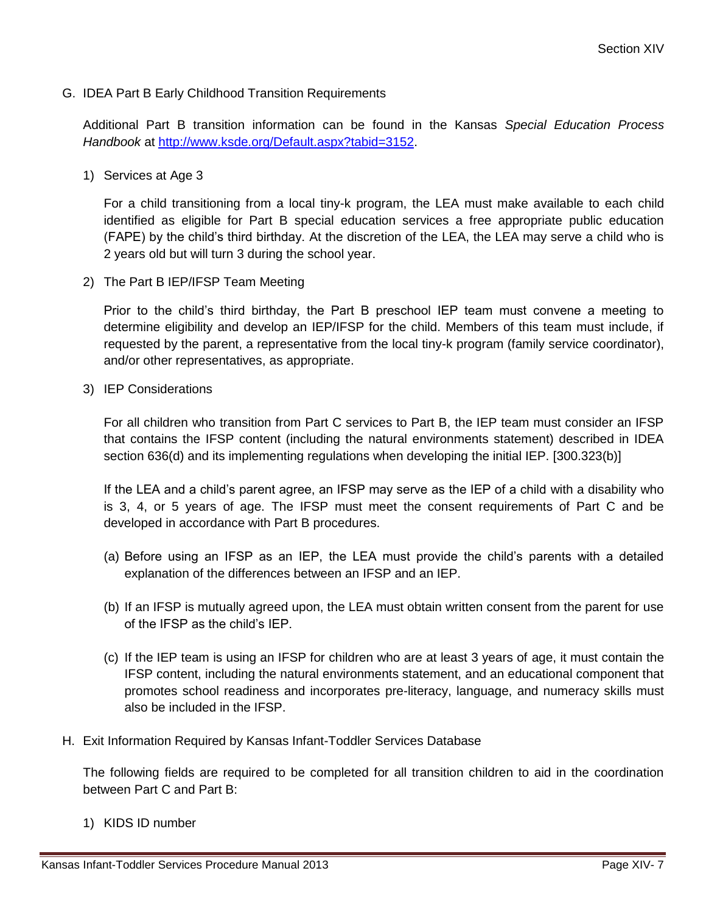G. IDEA Part B Early Childhood Transition Requirements

Additional Part B transition information can be found in the Kansas *Special Education Process Handbook* at [http://www.ksde.org/Default.aspx?tabid=3152.](http://www.ksde.org/Default.aspx?tabid=3152)

1) Services at Age 3

For a child transitioning from a local tiny-k program, the LEA must make available to each child identified as eligible for Part B special education services a free appropriate public education (FAPE) by the child's third birthday. At the discretion of the LEA, the LEA may serve a child who is 2 years old but will turn 3 during the school year.

2) The Part B IEP/IFSP Team Meeting

Prior to the child's third birthday, the Part B preschool IEP team must convene a meeting to determine eligibility and develop an IEP/IFSP for the child. Members of this team must include, if requested by the parent, a representative from the local tiny-k program (family service coordinator), and/or other representatives, as appropriate.

3) IEP Considerations

For all children who transition from Part C services to Part B, the IEP team must consider an IFSP that contains the IFSP content (including the natural environments statement) described in IDEA section 636(d) and its implementing regulations when developing the initial IEP. [300.323(b)]

If the LEA and a child's parent agree, an IFSP may serve as the IEP of a child with a disability who is 3, 4, or 5 years of age. The IFSP must meet the consent requirements of Part C and be developed in accordance with Part B procedures.

- (a) Before using an IFSP as an IEP, the LEA must provide the child's parents with a detailed explanation of the differences between an IFSP and an IEP.
- (b) If an IFSP is mutually agreed upon, the LEA must obtain written consent from the parent for use of the IFSP as the child's IEP.
- (c) If the IEP team is using an IFSP for children who are at least 3 years of age, it must contain the IFSP content, including the natural environments statement, and an educational component that promotes school readiness and incorporates pre-literacy, language, and numeracy skills must also be included in the IFSP.
- H. Exit Information Required by Kansas Infant-Toddler Services Database

The following fields are required to be completed for all transition children to aid in the coordination between Part C and Part B:

1) KIDS ID number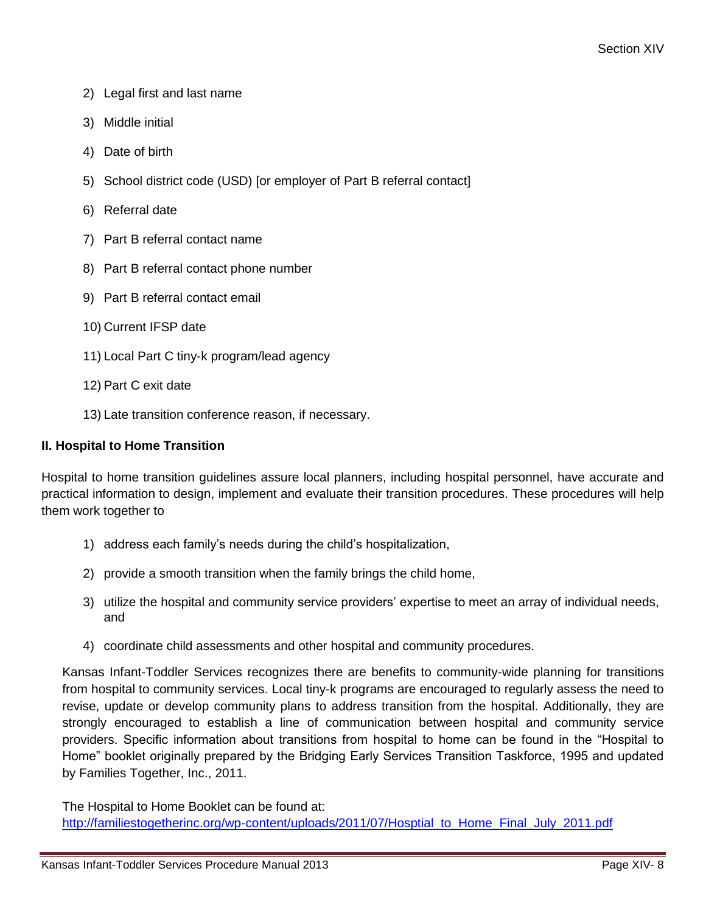- 2) Legal first and last name
- 3) Middle initial
- 4) Date of birth
- 5) School district code (USD) [or employer of Part B referral contact]
- 6) Referral date
- 7) Part B referral contact name
- 8) Part B referral contact phone number
- 9) Part B referral contact email
- 10) Current IFSP date
- 11) Local Part C tiny-k program/lead agency
- 12) Part C exit date
- 13) Late transition conference reason, if necessary.

# **II. Hospital to Home Transition**

Hospital to home transition guidelines assure local planners, including hospital personnel, have accurate and practical information to design, implement and evaluate their transition procedures. These procedures will help them work together to

- 1) address each family's needs during the child's hospitalization,
- 2) provide a smooth transition when the family brings the child home,
- 3) utilize the hospital and community service providers' expertise to meet an array of individual needs, and
- 4) coordinate child assessments and other hospital and community procedures.

Kansas Infant-Toddler Services recognizes there are benefits to community-wide planning for transitions from hospital to community services. Local tiny-k programs are encouraged to regularly assess the need to revise, update or develop community plans to address transition from the hospital. Additionally, they are strongly encouraged to establish a line of communication between hospital and community service providers. Specific information about transitions from hospital to home can be found in the "Hospital to Home" booklet originally prepared by the Bridging Early Services Transition Taskforce, 1995 and updated by Families Together, Inc., 2011.

The Hospital to Home Booklet can be found at: [http://familiestogetherinc.org/wp-content/uploads/2011/07/Hosptial\\_to\\_Home\\_Final\\_July\\_2011.pdf](http://familiestogetherinc.org/wp-content/uploads/2011/07/Hosptial_to_Home_Final_July_2011.pdf)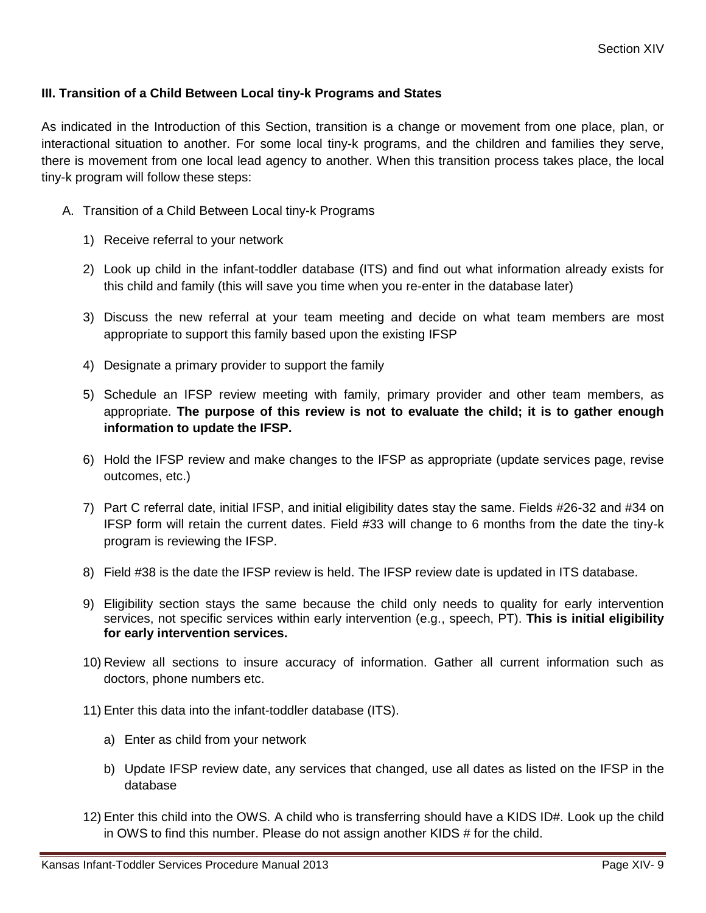# **III. Transition of a Child Between Local tiny-k Programs and States**

As indicated in the Introduction of this Section, transition is a change or movement from one place, plan, or interactional situation to another. For some local tiny-k programs, and the children and families they serve, there is movement from one local lead agency to another. When this transition process takes place, the local tiny-k program will follow these steps:

- A. Transition of a Child Between Local tiny-k Programs
	- 1) Receive referral to your network
	- 2) Look up child in the infant-toddler database (ITS) and find out what information already exists for this child and family (this will save you time when you re-enter in the database later)
	- 3) Discuss the new referral at your team meeting and decide on what team members are most appropriate to support this family based upon the existing IFSP
	- 4) Designate a primary provider to support the family
	- 5) Schedule an IFSP review meeting with family, primary provider and other team members, as appropriate. **The purpose of this review is not to evaluate the child; it is to gather enough information to update the IFSP.**
	- 6) Hold the IFSP review and make changes to the IFSP as appropriate (update services page, revise outcomes, etc.)
	- 7) Part C referral date, initial IFSP, and initial eligibility dates stay the same. Fields #26-32 and #34 on IFSP form will retain the current dates. Field #33 will change to 6 months from the date the tiny-k program is reviewing the IFSP.
	- 8) Field #38 is the date the IFSP review is held. The IFSP review date is updated in ITS database.
	- 9) Eligibility section stays the same because the child only needs to quality for early intervention services, not specific services within early intervention (e.g., speech, PT). **This is initial eligibility for early intervention services.**
	- 10) Review all sections to insure accuracy of information. Gather all current information such as doctors, phone numbers etc.
	- 11) Enter this data into the infant-toddler database (ITS).
		- a) Enter as child from your network
		- b) Update IFSP review date, any services that changed, use all dates as listed on the IFSP in the database
	- 12) Enter this child into the OWS. A child who is transferring should have a KIDS ID#. Look up the child in OWS to find this number. Please do not assign another KIDS # for the child.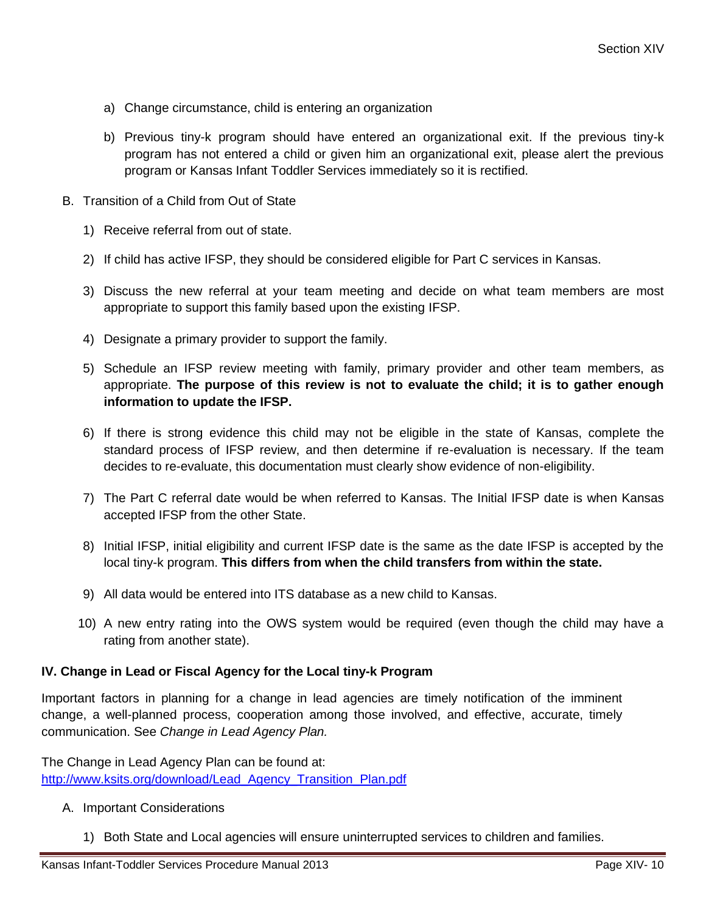- a) Change circumstance, child is entering an organization
- b) Previous tiny-k program should have entered an organizational exit. If the previous tiny-k program has not entered a child or given him an organizational exit, please alert the previous program or Kansas Infant Toddler Services immediately so it is rectified.
- B. Transition of a Child from Out of State
	- 1) Receive referral from out of state.
	- 2) If child has active IFSP, they should be considered eligible for Part C services in Kansas.
	- 3) Discuss the new referral at your team meeting and decide on what team members are most appropriate to support this family based upon the existing IFSP.
	- 4) Designate a primary provider to support the family.
	- 5) Schedule an IFSP review meeting with family, primary provider and other team members, as appropriate. **The purpose of this review is not to evaluate the child; it is to gather enough information to update the IFSP.**
	- 6) If there is strong evidence this child may not be eligible in the state of Kansas, complete the standard process of IFSP review, and then determine if re-evaluation is necessary. If the team decides to re-evaluate, this documentation must clearly show evidence of non-eligibility.
	- 7) The Part C referral date would be when referred to Kansas. The Initial IFSP date is when Kansas accepted IFSP from the other State.
	- 8) Initial IFSP, initial eligibility and current IFSP date is the same as the date IFSP is accepted by the local tiny-k program. **This differs from when the child transfers from within the state.**
	- 9) All data would be entered into ITS database as a new child to Kansas.
	- 10) A new entry rating into the OWS system would be required (even though the child may have a rating from another state).

#### **IV. Change in Lead or Fiscal Agency for the Local tiny-k Program**

Important factors in planning for a change in lead agencies are timely notification of the imminent change, a well-planned process, cooperation among those involved, and effective, accurate, timely communication. See *Change in Lead Agency Plan.*

The Change in Lead Agency Plan can be found at: [http://www.ksits.org/download/Lead\\_Agency\\_Transition\\_Plan.pdf](http://www.ksits.org/download/Lead_Agency_Transition_Plan.pdf)

- A. Important Considerations
	- 1) Both State and Local agencies will ensure uninterrupted services to children and families.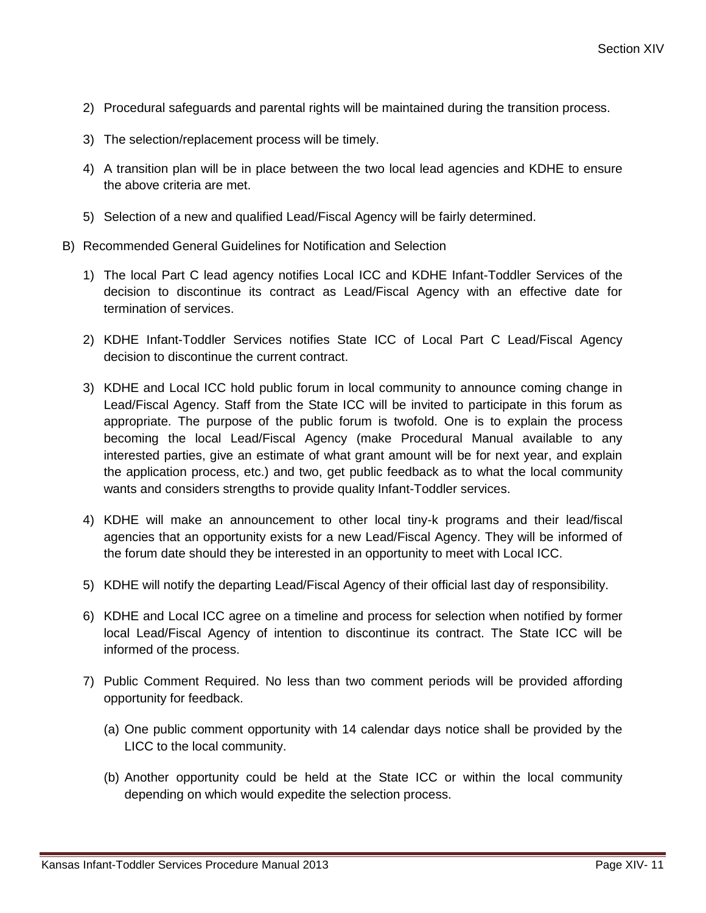- 2) Procedural safeguards and parental rights will be maintained during the transition process.
- 3) The selection/replacement process will be timely.
- 4) A transition plan will be in place between the two local lead agencies and KDHE to ensure the above criteria are met.
- 5) Selection of a new and qualified Lead/Fiscal Agency will be fairly determined.
- B) Recommended General Guidelines for Notification and Selection
	- 1) The local Part C lead agency notifies Local ICC and KDHE Infant-Toddler Services of the decision to discontinue its contract as Lead/Fiscal Agency with an effective date for termination of services.
	- 2) KDHE Infant-Toddler Services notifies State ICC of Local Part C Lead/Fiscal Agency decision to discontinue the current contract.
	- 3) KDHE and Local ICC hold public forum in local community to announce coming change in Lead/Fiscal Agency. Staff from the State ICC will be invited to participate in this forum as appropriate. The purpose of the public forum is twofold. One is to explain the process becoming the local Lead/Fiscal Agency (make Procedural Manual available to any interested parties, give an estimate of what grant amount will be for next year, and explain the application process, etc.) and two, get public feedback as to what the local community wants and considers strengths to provide quality Infant-Toddler services.
	- 4) KDHE will make an announcement to other local tiny-k programs and their lead/fiscal agencies that an opportunity exists for a new Lead/Fiscal Agency. They will be informed of the forum date should they be interested in an opportunity to meet with Local ICC.
	- 5) KDHE will notify the departing Lead/Fiscal Agency of their official last day of responsibility.
	- 6) KDHE and Local ICC agree on a timeline and process for selection when notified by former local Lead/Fiscal Agency of intention to discontinue its contract. The State ICC will be informed of the process.
	- 7) Public Comment Required. No less than two comment periods will be provided affording opportunity for feedback.
		- (a) One public comment opportunity with 14 calendar days notice shall be provided by the LICC to the local community.
		- (b) Another opportunity could be held at the State ICC or within the local community depending on which would expedite the selection process.